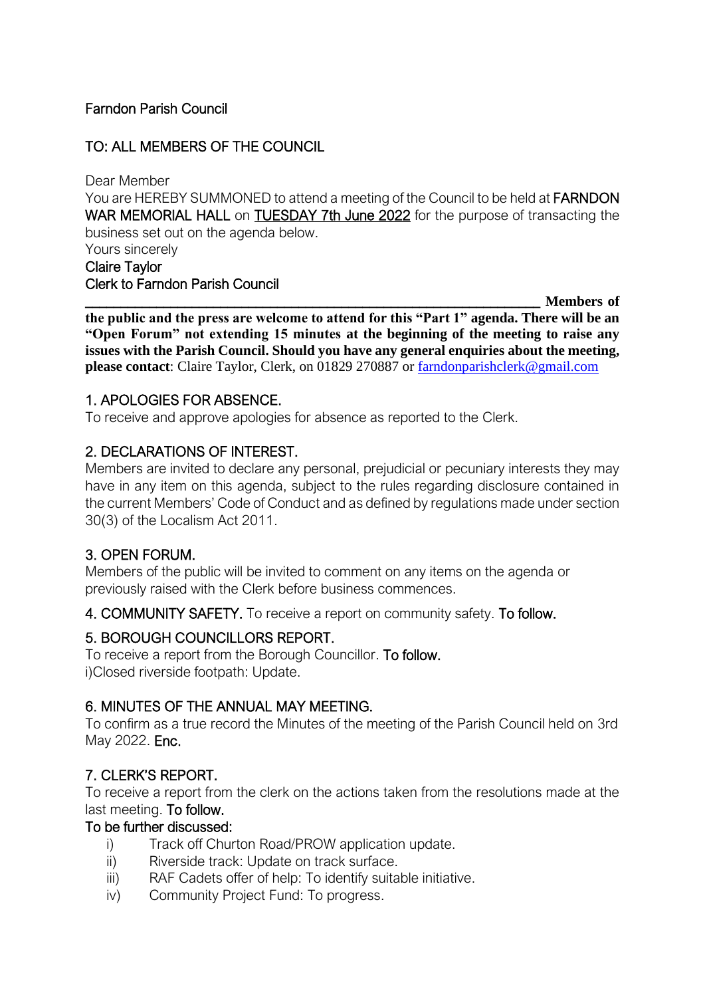## Farndon Parish Council

## TO: ALL MEMBERS OF THE COUNCIL

Dear Member You are HEREBY SUMMONED to attend a meeting of the Council to be held at FARNDON WAR MEMORIAL HALL on TUESDAY 7th June 2022 for the purpose of transacting the business set out on the agenda below. Yours sincerely Claire Taylor

Clerk to Farndon Parish Council

\_\_\_\_\_\_\_\_\_\_\_\_\_\_\_\_\_\_\_\_\_\_\_\_\_\_\_\_\_\_\_\_\_\_\_\_\_\_\_\_\_\_\_\_\_\_\_\_\_\_\_\_\_\_\_\_\_\_\_\_\_\_\_\_ **Members of the public and the press are welcome to attend for this "Part 1" agenda. There will be an "Open Forum" not extending 15 minutes at the beginning of the meeting to raise any issues with the Parish Council. Should you have any general enquiries about the meeting, please contact**: Claire Taylor, Clerk, on 01829 270887 or [farndonparishclerk@gmail.com](mailto:farndonparishclerk@gmail.com)

#### 1. APOLOGIES FOR ABSENCE.

To receive and approve apologies for absence as reported to the Clerk.

## 2. DECLARATIONS OF INTEREST.

Members are invited to declare any personal, prejudicial or pecuniary interests they may have in any item on this agenda, subject to the rules regarding disclosure contained in the current Members' Code of Conduct and as defined by regulations made under section 30(3) of the Localism Act 2011.

#### 3. OPEN FORUM.

Members of the public will be invited to comment on any items on the agenda or previously raised with the Clerk before business commences.

4. COMMUNITY SAFETY. To receive a report on community safety. To follow.

#### 5. BOROUGH COUNCILLORS REPORT.

To receive a report from the Borough Councillor. To follow. i)Closed riverside footpath: Update.

#### 6. MINUTES OF THE ANNUAL MAY MEETING.

To confirm as a true record the Minutes of the meeting of the Parish Council held on 3rd May 2022. Enc.

# 7. CLERK'S REPORT.

To receive a report from the clerk on the actions taken from the resolutions made at the last meeting. To follow.

#### To be further discussed:

- i) Track off Churton Road/PROW application update.
- ii) Riverside track: Update on track surface.
- iii) RAF Cadets offer of help: To identify suitable initiative.
- iv) Community Project Fund: To progress.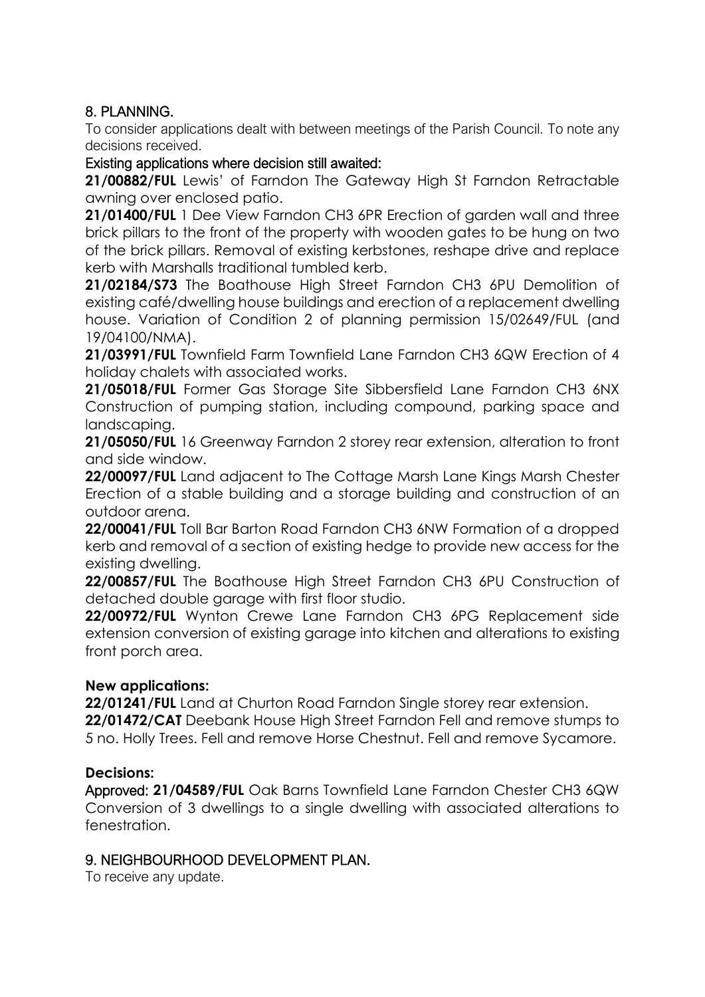# 8. PLANNING.

To consider applications dealt with between meetings of the Parish Council. To note any decisions received.

#### Existing applications where decision still awaited:

**21/00882/FUL** Lewis' of Farndon The Gateway High St Farndon Retractable awning over enclosed patio.

**21/01400/FUL** 1 Dee View Farndon CH3 6PR Erection of garden wall and three brick pillars to the front of the property with wooden gates to be hung on two of the brick pillars. Removal of existing kerbstones, reshape drive and replace kerb with Marshalls traditional tumbled kerb.

**21/02184/S73** The Boathouse High Street Farndon CH3 6PU Demolition of existing café/dwelling house buildings and erection of a replacement dwelling house. Variation of Condition 2 of planning permission 15/02649/FUL (and 19/04100/NMA).

**21/03991/FUL** Townfield Farm Townfield Lane Farndon CH3 6QW Erection of 4 holiday chalets with associated works.

**21/05018/FUL** Former Gas Storage Site Sibbersfield Lane Farndon CH3 6NX Construction of pumping station, including compound, parking space and landscaping.

**21/05050/FUL** 16 Greenway Farndon 2 storey rear extension, alteration to front and side window.

**22/00097/FUL** Land adjacent to The Cottage Marsh Lane Kings Marsh Chester Erection of a stable building and a storage building and construction of an outdoor arena.

**22/00041/FUL** Toll Bar Barton Road Farndon CH3 6NW Formation of a dropped kerb and removal of a section of existing hedge to provide new access for the existing dwelling.

**22/00857/FUL** The Boathouse High Street Farndon CH3 6PU Construction of detached double garage with first floor studio.

**22/00972/FUL** Wynton Crewe Lane Farndon CH3 6PG Replacement side extension conversion of existing garage into kitchen and alterations to existing front porch area.

#### **New applications:**

**22/01241/FUL** Land at Churton Road Farndon Single storey rear extension. **22/01472/CAT** Deebank House High Street Farndon Fell and remove stumps to 5 no. Holly Trees. Fell and remove Horse Chestnut. Fell and remove Sycamore.

#### **Decisions:**

Approved: **21/04589/FUL** Oak Barns Townfield Lane Farndon Chester CH3 6QW Conversion of 3 dwellings to a single dwelling with associated alterations to fenestration.

#### 9. NEIGHBOURHOOD DEVELOPMENT PLAN.

To receive any update.